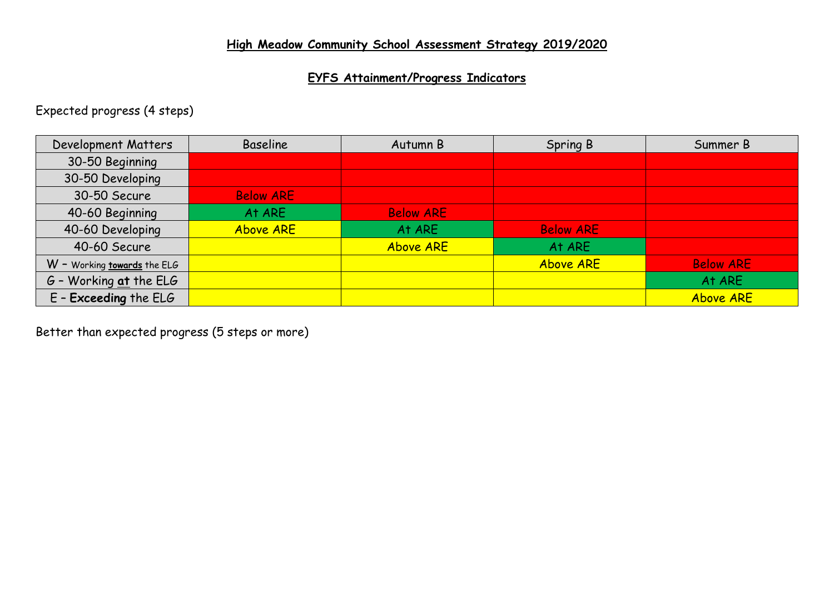# **EYFS Attainment/Progress Indicators**

Expected progress (4 steps)

| Development Matters         | <b>Baseline</b>  | Autumn B         | Spring B         | Summer B         |
|-----------------------------|------------------|------------------|------------------|------------------|
| 30-50 Beginning             |                  |                  |                  |                  |
| 30-50 Developing            |                  |                  |                  |                  |
| 30-50 Secure                | <b>Below ARE</b> |                  |                  |                  |
| 40-60 Beginning             | At ARE           | <b>Below ARE</b> |                  |                  |
| 40-60 Developing            | <b>Above ARE</b> | At ARE           | <b>Below ARE</b> |                  |
| 40-60 Secure                |                  | <b>Above ARE</b> | At ARE           |                  |
| W - Working towards the ELG |                  |                  | <b>Above ARE</b> | <b>Below ARE</b> |
| $G$ - Working at the ELG    |                  |                  |                  | At ARE           |
| $E$ - Exceeding the ELG     |                  |                  |                  | <b>Above ARE</b> |

Better than expected progress (5 steps or more)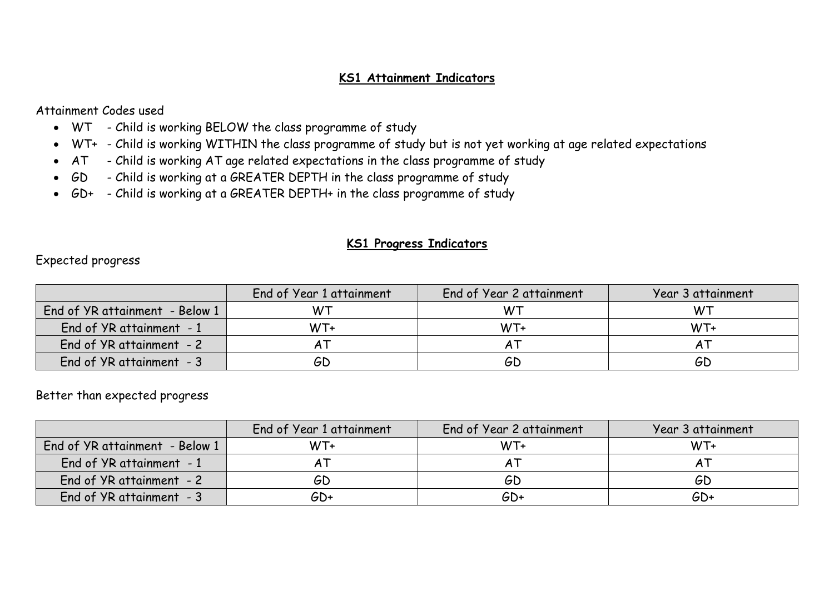# **KS1 Attainment Indicators**

Attainment Codes used

- WT Child is working BELOW the class programme of study
- WT+ Child is working WITHIN the class programme of study but is not yet working at age related expectations
- AT Child is working AT age related expectations in the class programme of study
- GD Child is working at a GREATER DEPTH in the class programme of study
- GD+ Child is working at a GREATER DEPTH+ in the class programme of study

#### **KS1 Progress Indicators**

Expected progress

|                                | End of Year 1 attainment | End of Year 2 attainment | Year 3 attainment |
|--------------------------------|--------------------------|--------------------------|-------------------|
| End of YR attainment - Below 1 | W٦                       | W٦                       |                   |
| End of YR attainment - 1       | $WT+$                    | WT+                      | WT+               |
| End of YR attainment - 2       |                          |                          |                   |
| End of YR attainment - 3       | GD                       | GD                       | GD                |

#### Better than expected progress

|                                | End of Year 1 attainment | End of Year 2 attainment | Year 3 attainment |
|--------------------------------|--------------------------|--------------------------|-------------------|
| End of YR attainment - Below 1 | WT+                      | WT+                      | WT+               |
| End of YR attainment - 1       |                          |                          |                   |
| End of YR attainment - 2       | GD                       | GD                       | GD                |
| End of YR attainment - 3       | GD+                      | $GD+$                    | GD+               |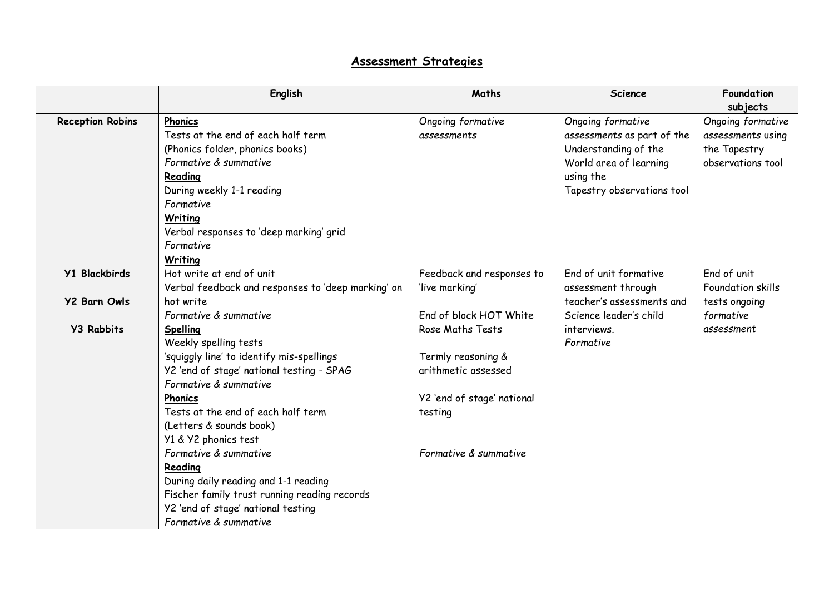# **Assessment Strategies**

|                         | English                                            | Maths                      | <b>Science</b>             | Foundation<br>subjects |
|-------------------------|----------------------------------------------------|----------------------------|----------------------------|------------------------|
| <b>Reception Robins</b> | Phonics                                            | Ongoing formative          | Ongoing formative          | Ongoing formative      |
|                         | Tests at the end of each half term                 | assessments                | assessments as part of the | assessments using      |
|                         | (Phonics folder, phonics books)                    |                            | Understanding of the       | the Tapestry           |
|                         | Formative & summative                              |                            | World area of learning     | observations tool      |
|                         | Reading                                            |                            | using the                  |                        |
|                         | During weekly 1-1 reading                          |                            | Tapestry observations tool |                        |
|                         | Formative                                          |                            |                            |                        |
|                         | Writing                                            |                            |                            |                        |
|                         | Verbal responses to 'deep marking' grid            |                            |                            |                        |
|                         | Formative                                          |                            |                            |                        |
|                         | Writing                                            |                            |                            |                        |
| <b>Y1 Blackbirds</b>    | Hot write at end of unit                           | Feedback and responses to  | End of unit formative      | End of unit            |
|                         | Verbal feedback and responses to 'deep marking' on | 'live marking'             | assessment through         | Foundation skills      |
| <b>Y2 Barn Owls</b>     | hot write                                          |                            | teacher's assessments and  | tests ongoing          |
|                         | Formative & summative                              | End of block HOT White     | Science leader's child     | formative              |
| <b>Y3 Rabbits</b>       | Spelling                                           | Rose Maths Tests           | interviews.                | assessment             |
|                         | Weekly spelling tests                              |                            | Formative                  |                        |
|                         | 'squiggly line' to identify mis-spellings          | Termly reasoning &         |                            |                        |
|                         | Y2 'end of stage' national testing - SPAG          | arithmetic assessed        |                            |                        |
|                         | Formative & summative                              |                            |                            |                        |
|                         | <b>Phonics</b>                                     | Y2 'end of stage' national |                            |                        |
|                         | Tests at the end of each half term                 | testing                    |                            |                        |
|                         | (Letters & sounds book)                            |                            |                            |                        |
|                         | Y1 & Y2 phonics test                               |                            |                            |                        |
|                         | Formative & summative                              | Formative & summative      |                            |                        |
|                         | Reading                                            |                            |                            |                        |
|                         | During daily reading and 1-1 reading               |                            |                            |                        |
|                         | Fischer family trust running reading records       |                            |                            |                        |
|                         | Y2 'end of stage' national testing                 |                            |                            |                        |
|                         | Formative & summative                              |                            |                            |                        |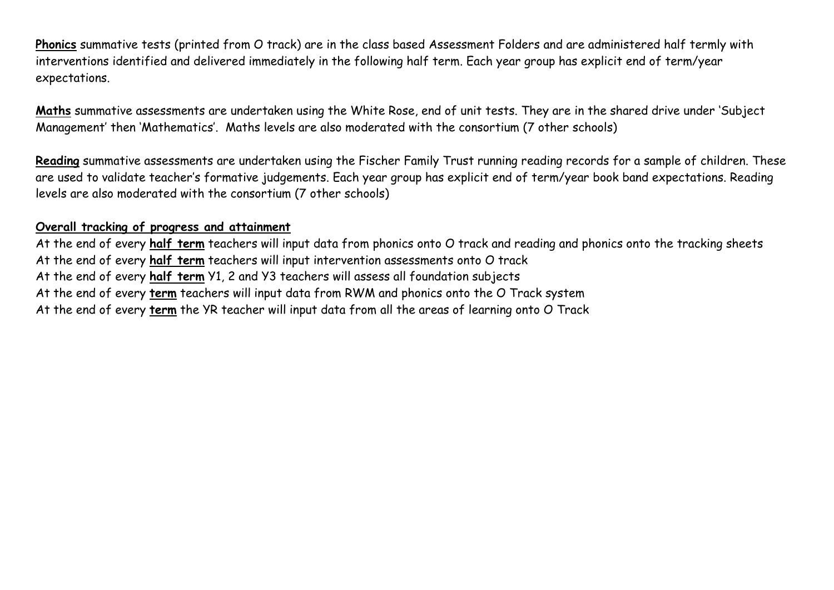**Phonics** summative tests (printed from O track) are in the class based Assessment Folders and are administered half termly with interventions identified and delivered immediately in the following half term. Each year group has explicit end of term/year expectations.

**Maths** summative assessments are undertaken using the White Rose, end of unit tests. They are in the shared drive under 'Subject Management' then 'Mathematics'. Maths levels are also moderated with the consortium (7 other schools)

**Reading** summative assessments are undertaken using the Fischer Family Trust running reading records for a sample of children. These are used to validate teacher's formative judgements. Each year group has explicit end of term/year book band expectations. Reading levels are also moderated with the consortium (7 other schools)

# **Overall tracking of progress and attainment**

At the end of every **half term** teachers will input data from phonics onto O track and reading and phonics onto the tracking sheets At the end of every **half term** teachers will input intervention assessments onto O track At the end of every **half term** Y1, 2 and Y3 teachers will assess all foundation subjects At the end of every **term** teachers will input data from RWM and phonics onto the O Track system At the end of every **term** the YR teacher will input data from all the areas of learning onto O Track